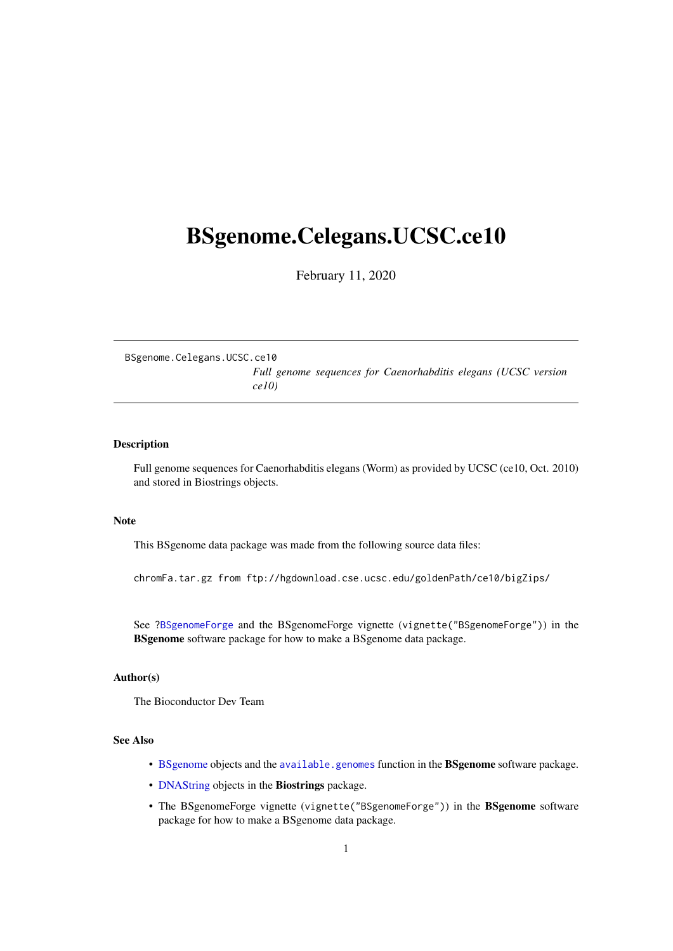## <span id="page-0-0"></span>BSgenome.Celegans.UCSC.ce10

February 11, 2020

BSgenome.Celegans.UCSC.ce10 *Full genome sequences for Caenorhabditis elegans (UCSC version ce10)*

#### Description

Full genome sequences for Caenorhabditis elegans (Worm) as provided by UCSC (ce10, Oct. 2010) and stored in Biostrings objects.

#### Note

This BSgenome data package was made from the following source data files:

chromFa.tar.gz from ftp://hgdownload.cse.ucsc.edu/goldenPath/ce10/bigZips/

See ?BSgenomeForge and the BSgenomeForge vignette (vignette("BSgenomeForge")) in the BSgenome software package for how to make a BSgenome data package.

#### Author(s)

The Bioconductor Dev Team

### See Also

- BSgenome objects and the available.genomes function in the BSgenome software package.
- DNAString objects in the Biostrings package.
- The BSgenomeForge vignette (vignette("BSgenomeForge")) in the BSgenome software package for how to make a BSgenome data package.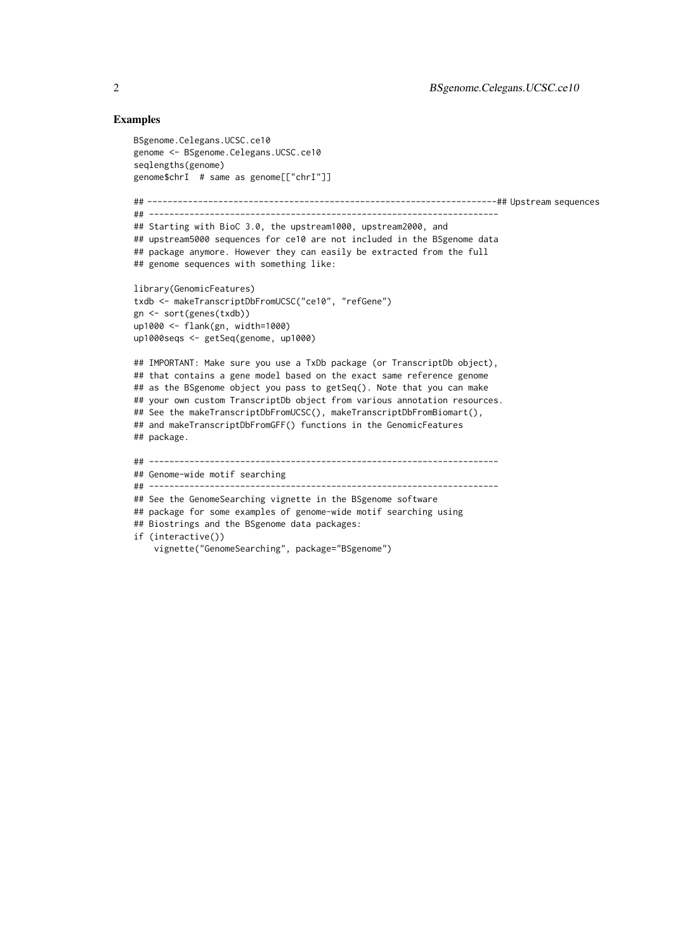#### Examples

```
BSgenome.Celegans.UCSC.ce10
genome <- BSgenome.Celegans.UCSC.ce10
seqlengths(genome)
genome$chrI # same as genome[["chrI"]]
## ---------------------------------------------------------------------## Upstream sequences
## ---------------------------------------------------------------------
## Starting with BioC 3.0, the upstream1000, upstream2000, and
## upstream5000 sequences for ce10 are not included in the BSgenome data
## package anymore. However they can easily be extracted from the full
## genome sequences with something like:
library(GenomicFeatures)
txdb <- makeTranscriptDbFromUCSC("ce10", "refGene")
gn <- sort(genes(txdb))
up1000 <- flank(gn, width=1000)
up1000seqs <- getSeq(genome, up1000)
## IMPORTANT: Make sure you use a TxDb package (or TranscriptDb object),
## that contains a gene model based on the exact same reference genome
## as the BSgenome object you pass to getSeq(). Note that you can make
## your own custom TranscriptDb object from various annotation resources.
## See the makeTranscriptDbFromUCSC(), makeTranscriptDbFromBiomart(),
## and makeTranscriptDbFromGFF() functions in the GenomicFeatures
## package.
## ---------------------------------------------------------------------
## Genome-wide motif searching
## ---------------------------------------------------------------------
## See the GenomeSearching vignette in the BSgenome software
## package for some examples of genome-wide motif searching using
## Biostrings and the BSgenome data packages:
if (interactive())
    vignette("GenomeSearching", package="BSgenome")
```